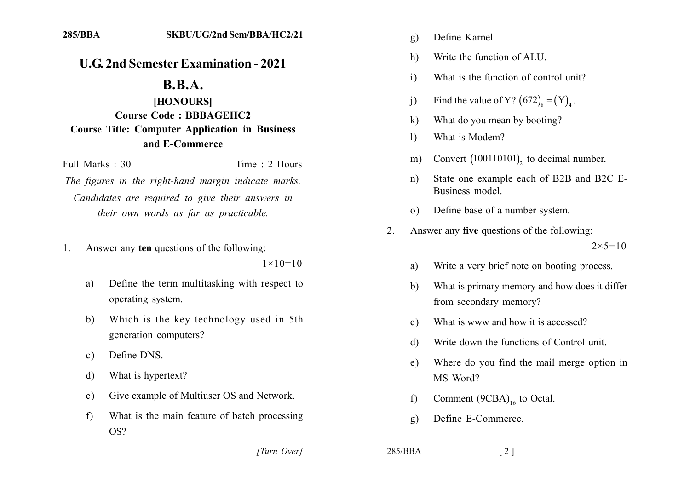## **U.G. 2nd Semester Examination - 2021**

## **B.B.A.**

## [HONOURS] **Course Code: BBBAGEHC2 Course Title: Computer Application in Business** and E-Commerce

Full Marks  $\cdot$  30

Time  $\cdot$  2 Hours

The figures in the right-hand margin indicate marks. Candidates are required to give their answers in their own words as far as practicable.

Answer any ten questions of the following:  $\mathbf{1}$ 

 $1 \times 10 = 10$ 

- Define the term multitasking with respect to a) operating system.
- $b)$ Which is the key technology used in 5th generation computers?
- Define DNS.  $c)$
- What is hypertext? d)
- Give example of Multiuser OS and Network.  $e)$
- What is the main feature of batch processing  $f$ OS?

[Turn Over]

- Define Karnel.  $g)$
- Write the function of ALU. h)
- What is the function of control unit?  $\mathbf{i}$
- Find the value of Y?  $(672)_{0} = (Y)_{1}$ .  $\overline{1}$
- $\bf k$ What do you mean by booting?
- What is Modem?  $\overline{1}$
- Convert (100110101), to decimal number.  $m)$
- State one example each of B2B and B2C E $n)$ Business model
- Define base of a number system.  $\Omega$
- Answer any **five** questions of the following:  $2^{\circ}$  $2 \times 5 = 10$ 
	- Write a very brief note on booting process. a)
	- What is primary memory and how does it differ b) from secondary memory?
	- What is www and how it is accessed?  $c)$
	- Write down the functions of Control unit. d)
	- Where do you find the mail merge option in  $e)$ MS-Word?
	- Comment  $(9CBA)_{16}$  to Octal.  $f$
	- Define E-Commerce.  $\mathbf{g}$ )

```
285/BBA
```
 $\lceil 2 \rceil$